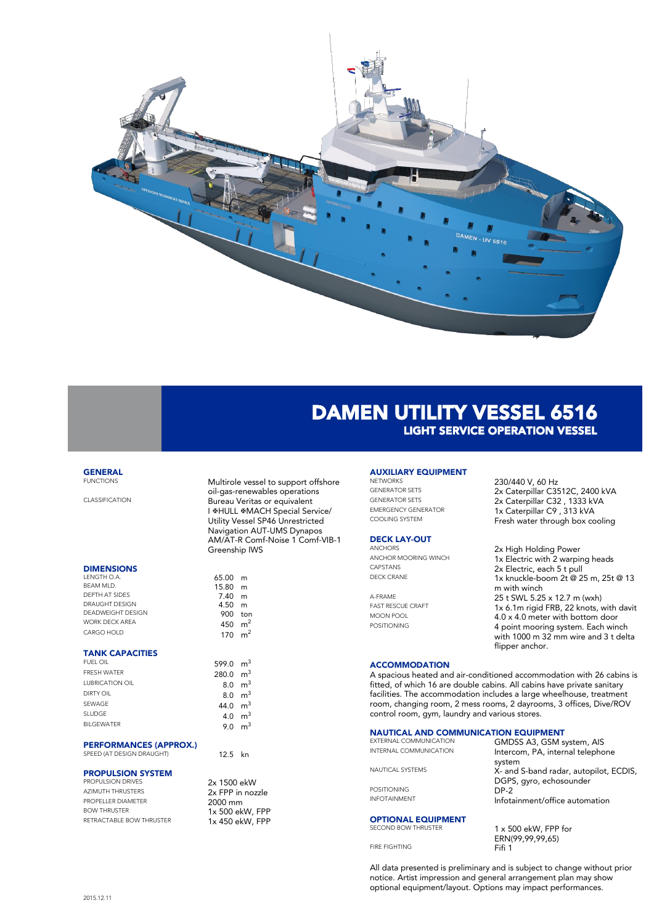

# DAMEN UTILITY VESSEL 6516 LIGHT SERVICE OPERATION VESSEL

# **GENERAL**<br>FUNCTIONS

### **DIMENSIONS**

| LENGTH O.A.           | 65.00 m |                |
|-----------------------|---------|----------------|
| BFAM MID.             | 15.80   | m              |
| DEPTH AT SIDES        | 7.40    | m              |
| DRAUGHT DESIGN        | 4.50    | m              |
| DEADWEIGHT DESIGN     | 900     | ton            |
| <b>WORK DECK AREA</b> | 450     | m <sup>2</sup> |
| CARGO HOLD            | 170     | m <sup>2</sup> |
|                       |         |                |

### TANK CAPACITIES

| FUEL OIL               | 599.0 | r |
|------------------------|-------|---|
| <b>FRESH WATER</b>     | 280.0 | r |
| <b>LUBRICATION OIL</b> | 8.0   | r |
| DIRTY OIL              | 8.0   | r |
| SEWAGE                 | 44.0  | r |
| <b>SLUDGE</b>          | 4.0   | r |
| <b>BII GEWATER</b>     | 9.0   | r |
|                        |       |   |

### PERFORMANCES (APPROX.)

SPEED (AT DESIGN DRAUGHT) 12.5 kn

## PROPULSION SYSTEM

| AZIMUTH THRUSTERS         |
|---------------------------|
| <b>PROPELLER DIAMETER</b> |
| <b>BOW THRUSTER</b>       |
| RETRACTABLE BOW THRUSTER  |

| <b>FUNCTIONS</b>      | Multirole vessel to support offshore |
|-----------------------|--------------------------------------|
|                       | oil-gas-renewables operations        |
| <b>CLASSIFICATION</b> | Bureau Veritas or equivalent         |
|                       | I ⊕HULL ⊕MACH Special Service/       |
|                       | Utility Vessel SP46 Unrestricted     |
|                       | Navigation AUT-UMS Dynapos           |
|                       | AM/AT-R Comf-Noise 1 Comf-VIB-1      |
|                       | Greenship IWS                        |
|                       |                                      |

| 15.80<br>7.40<br>4.50 | m<br>m<br>m                      |
|-----------------------|----------------------------------|
| 900                   | ton                              |
| 450                   | m <sup>2</sup>                   |
| 170                   | m <sup>2</sup>                   |
| 599.0                 | m <sup>3</sup>                   |
| 280.0                 | $\mathsf{m}^3$                   |
| 8.0                   | m <sup>3</sup>                   |
|                       |                                  |
| 8.0                   | $\mathsf{m}^3$                   |
| 44.0                  | m <sup>3</sup>                   |
| 4.0                   | m <sup>3</sup><br>m <sup>3</sup> |

 $65.00$  m

### 2x 1500 ekW 2x FPP in nozzle  $2000 \text{ mm}$  $1x 500 e$ kW, FPP  $1x$  450 ekW, FPP

# **AUXILIARY EQUIPMENT**<br>NETWORKS

# **DECK LAY-OUT**<br>ANCHORS

### NETWORKS 230/440 V, 60 Hz<br>GENERATOR SETS 2x Caternillar C35 GENERATOR SETS<br>
2x Caterpillar C3512C, 2400 kVA<br>
2x Caterpillar C32 1333 kVA GENERATOR SETS 2x Caterpillar C32, 1333 kVA<br>EMERGENCY GENERATOR 1x Caterpillar C9 313 kVA EMERGENCY GENERATOR 1x Caterpillar C9, 313 kVA<br>COOLING SYSTEM 5 Fresh water through box cooling

ANCHORS 2x High Holding Power<br>ANCHOR MOORING WINCH 1x Electric with 2 warpin ANCHOR MOORING WINCH<br>  $\begin{array}{ccc}\n & 1 \times \text{Electric with 2 warping heads} \\
 & 2 \times \text{Electric each 5 to null}\n\end{array}$ CAPSTANS 2x Electric, each 5 t pull<br>DECK CRANE 1x knuckle-boom 2t @ 2 1x knuckle-boom 2t @ 25 m, 25t @ 13 m with winch A-FRAME 25 t SWL 5.25 x 12.7 m (wxh)<br>
FAST RESCUE CRAFT 1 26.1m rigid FRB. 22 knots. FAST RESCUE CRAFT 1x 6.1m rigid FRB, 22 knots, with davit MOON POOL 4.0 x 4.0 meter with bottom door<br>4.0 x 4.0 meter with bottom door<br>4.0 point mooring system. Each win 4 point mooring system. Each winch with 1000 m 32 mm wire and 3 t delta flipper anchor.

### **ACCOMMODATION**

A spacious heated and air-conditioned accommodation with 26 cabins is fitted, of which 16 are double cabins. All cabins have private sanitary facilities. The accommodation includes a large wheelhouse, treatment room, changing room, 2 mess rooms, 2 dayrooms, 3 offices, Dive/ROV control room, gym, laundry and various stores.

# **NAUTICAL AND COMMUNICATION EQUIPMENT**<br>EXTERNAL COMMUNICATION **CALDSS AREA**

| EXTERNAL COMMUNICATION<br>INTERNAL COMMUNICATION | GMDSS A3, GSM system, AIS<br>Intercom, PA, internal telephone               |
|--------------------------------------------------|-----------------------------------------------------------------------------|
| NAUTICAL SYSTEMS                                 | system<br>X- and S-band radar, autopilot, ECDIS,<br>DGPS, gyro, echosounder |
| <b>POSITIONING</b>                               | $DP-2$                                                                      |
| <b>INFOTAINMENT</b>                              | Infotainment/office automation                                              |
| <b>OPTIONAL EQUIPMENT</b>                        |                                                                             |
| <b>SECOND BOW THRUSTER</b>                       | $1 \times 500$ ekW, FPP for<br>F N I/00 00 00 1 F                           |

FIRE FIGHTING

ERN(99,99,99,65)

All data presented is preliminary and is subject to change without prior notice. Artist impression and general arrangement plan may show optional equipment/layout. Options may impact performances.